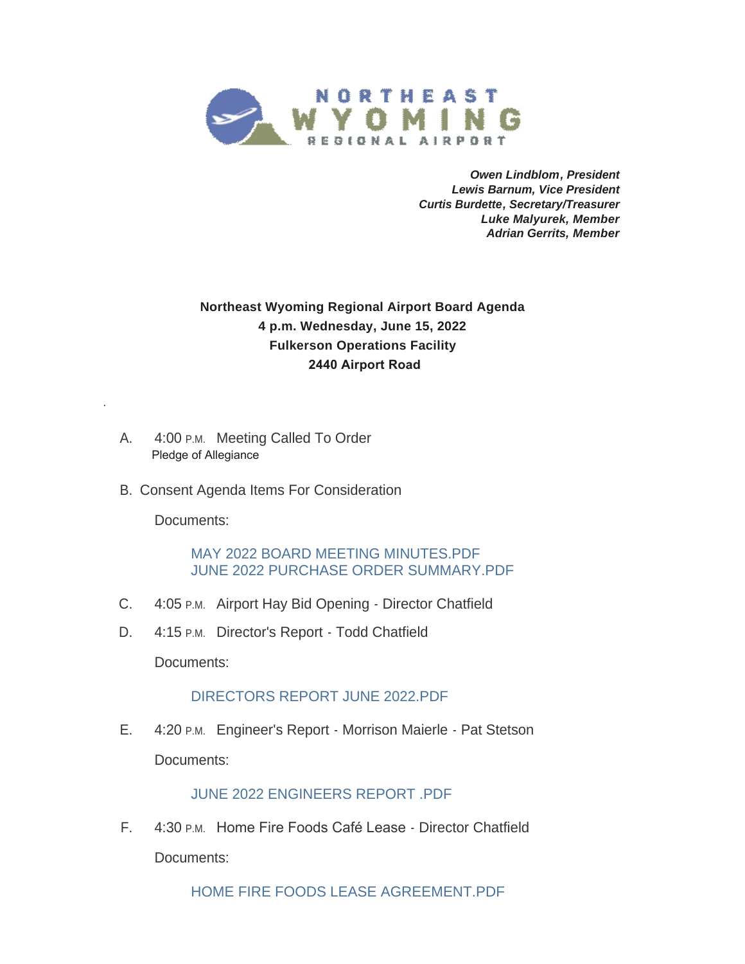

*Owen Lindblom, President Lewis Barnum, Vice President Curtis Burdette, Secretary/Treasurer Luke Malyurek, Member Adrian Gerrits, Member*

## **Northeast Wyoming Regional Airport Board Agenda 4 p.m. Wednesday, June 15, 2022 Fulkerson Operations Facility 2440 Airport Road**

- A. 4:00 P.M. Meeting Called To Order Pledge of Allegiance
- B. Consent Agenda Items For Consideration

Documents:

.

[MAY 2022 BOARD MEETING MINUTES.PDF](https://www.campbellcountywy.gov/AgendaCenter/ViewFile/Item/7172?fileID=63160) [JUNE 2022 PURCHASE ORDER SUMMARY.PDF](https://www.campbellcountywy.gov/AgendaCenter/ViewFile/Item/7172?fileID=63161)

- C. 4:05 P.M. Airport Hay Bid Opening Director Chatfield
- D. 4:15 P.M. Director's Report Todd Chatfield

Documents:

## [DIRECTORS REPORT JUNE 2022.PDF](https://www.campbellcountywy.gov/AgendaCenter/ViewFile/Item/7167?fileID=62899)

E. 4:20 P.M. Engineer's Report - Morrison Maierle - Pat Stetson Documents:

[JUNE 2022 ENGINEERS REPORT .PDF](https://www.campbellcountywy.gov/AgendaCenter/ViewFile/Item/7171?fileID=62907)

F. 4:30 P.M. Home Fire Foods Café Lease - Director Chatfield Documents:

[HOME FIRE FOODS LEASE AGREEMENT.PDF](https://www.campbellcountywy.gov/AgendaCenter/ViewFile/Item/7161?fileID=62895)